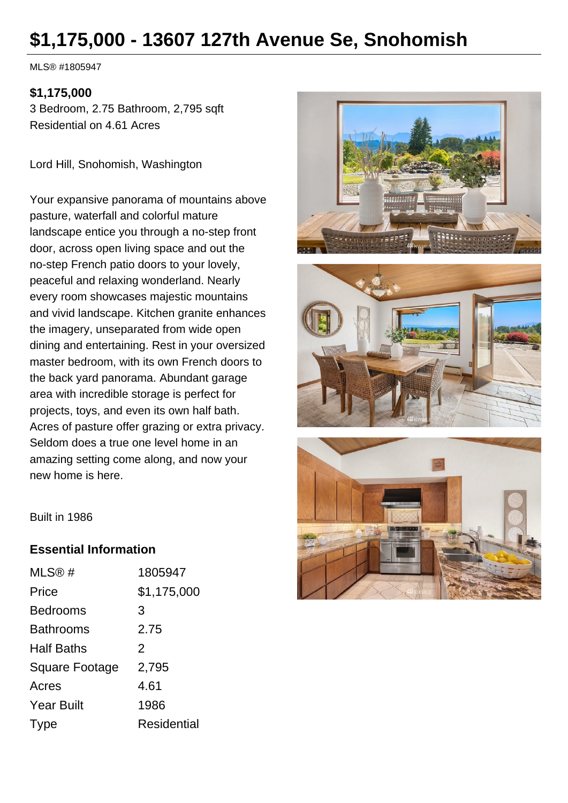# **\$1,175,000 - 13607 127th Avenue Se, Snohomish**

MLS® #1805947

#### **\$1,175,000**

3 Bedroom, 2.75 Bathroom, 2,795 sqft Residential on 4.61 Acres

Lord Hill, Snohomish, Washington

Your expansive panorama of mountains above pasture, waterfall and colorful mature landscape entice you through a no-step front door, across open living space and out the no-step French patio doors to your lovely, peaceful and relaxing wonderland. Nearly every room showcases majestic mountains and vivid landscape. Kitchen granite enhances the imagery, unseparated from wide open dining and entertaining. Rest in your oversized master bedroom, with its own French doors to the back yard panorama. Abundant garage area with incredible storage is perfect for projects, toys, and even its own half bath. Acres of pasture offer grazing or extra privacy. Seldom does a true one level home in an amazing setting come along, and now your new home is here.







Built in 1986

### **Essential Information**

| MLS@#                 | 1805947            |
|-----------------------|--------------------|
| Price                 | \$1,175,000        |
| <b>Bedrooms</b>       | 3                  |
| <b>Bathrooms</b>      | 2.75               |
| <b>Half Baths</b>     | $\mathcal{P}$      |
| <b>Square Footage</b> | 2,795              |
| Acres                 | 4.61               |
| <b>Year Built</b>     | 1986               |
| Type                  | <b>Residential</b> |